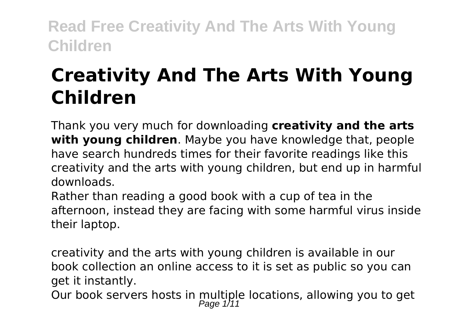# **Creativity And The Arts With Young Children**

Thank you very much for downloading **creativity and the arts with young children**. Maybe you have knowledge that, people have search hundreds times for their favorite readings like this creativity and the arts with young children, but end up in harmful downloads.

Rather than reading a good book with a cup of tea in the afternoon, instead they are facing with some harmful virus inside their laptop.

creativity and the arts with young children is available in our book collection an online access to it is set as public so you can get it instantly.

Our book servers hosts in multiple locations, allowing you to get<br> $_{Page 1/11}^{Page 1/11}$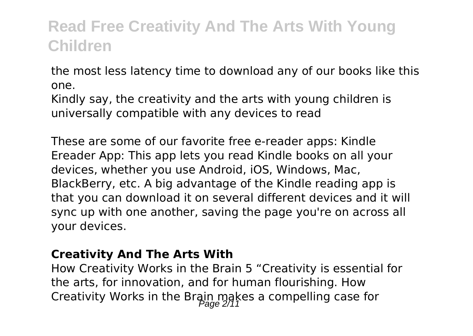the most less latency time to download any of our books like this one.

Kindly say, the creativity and the arts with young children is universally compatible with any devices to read

These are some of our favorite free e-reader apps: Kindle Ereader App: This app lets you read Kindle books on all your devices, whether you use Android, iOS, Windows, Mac, BlackBerry, etc. A big advantage of the Kindle reading app is that you can download it on several different devices and it will sync up with one another, saving the page you're on across all your devices.

#### **Creativity And The Arts With**

How Creativity Works in the Brain 5 "Creativity is essential for the arts, for innovation, and for human flourishing. How Creativity Works in the Brain makes a compelling case for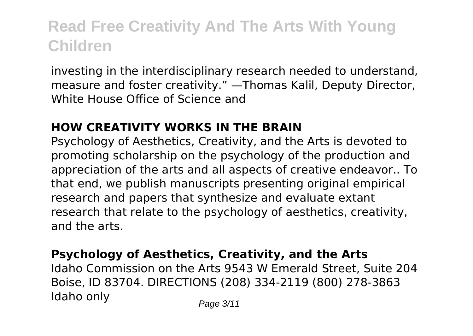investing in the interdisciplinary research needed to understand, measure and foster creativity." —Thomas Kalil, Deputy Director, White House Office of Science and

### **HOW CREATIVITY WORKS IN THE BRAIN**

Psychology of Aesthetics, Creativity, and the Arts is devoted to promoting scholarship on the psychology of the production and appreciation of the arts and all aspects of creative endeavor.. To that end, we publish manuscripts presenting original empirical research and papers that synthesize and evaluate extant research that relate to the psychology of aesthetics, creativity, and the arts.

### **Psychology of Aesthetics, Creativity, and the Arts**

Idaho Commission on the Arts 9543 W Emerald Street, Suite 204 Boise, ID 83704. DIRECTIONS (208) 334-2119 (800) 278-3863 Idaho only Page 3/11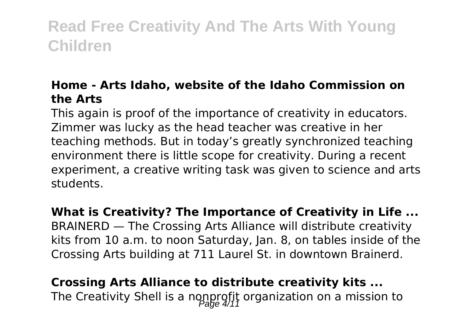### **Home - Arts Idaho, website of the Idaho Commission on the Arts**

This again is proof of the importance of creativity in educators. Zimmer was lucky as the head teacher was creative in her teaching methods. But in today's greatly synchronized teaching environment there is little scope for creativity. During a recent experiment, a creative writing task was given to science and arts students.

**What is Creativity? The Importance of Creativity in Life ...** BRAINERD — The Crossing Arts Alliance will distribute creativity kits from 10 a.m. to noon Saturday, Jan. 8, on tables inside of the Crossing Arts building at 711 Laurel St. in downtown Brainerd.

**Crossing Arts Alliance to distribute creativity kits ...** The Creativity Shell is a nonprofit organization on a mission to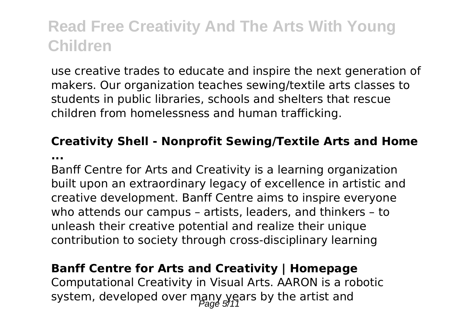use creative trades to educate and inspire the next generation of makers. Our organization teaches sewing/textile arts classes to students in public libraries, schools and shelters that rescue children from homelessness and human trafficking.

### **Creativity Shell - Nonprofit Sewing/Textile Arts and Home ...**

Banff Centre for Arts and Creativity is a learning organization built upon an extraordinary legacy of excellence in artistic and creative development. Banff Centre aims to inspire everyone who attends our campus – artists, leaders, and thinkers – to unleash their creative potential and realize their unique contribution to society through cross-disciplinary learning

### **Banff Centre for Arts and Creativity | Homepage**

Computational Creativity in Visual Arts. AARON is a robotic system, developed over many years by the artist and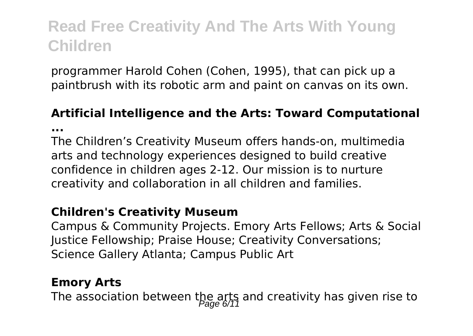programmer Harold Cohen (Cohen, 1995), that can pick up a paintbrush with its robotic arm and paint on canvas on its own.

# **Artificial Intelligence and the Arts: Toward Computational**

**...**

The Children's Creativity Museum offers hands-on, multimedia arts and technology experiences designed to build creative confidence in children ages 2-12. Our mission is to nurture creativity and collaboration in all children and families.

#### **Children's Creativity Museum**

Campus & Community Projects. Emory Arts Fellows; Arts & Social Justice Fellowship; Praise House; Creativity Conversations; Science Gallery Atlanta; Campus Public Art

#### **Emory Arts**

The association between the arts and creativity has given rise to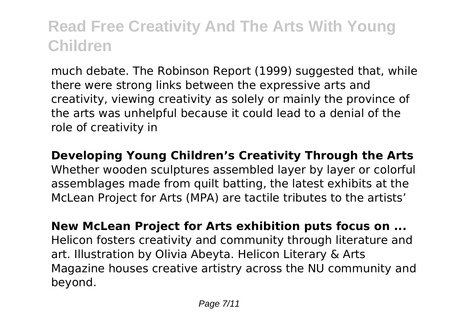much debate. The Robinson Report (1999) suggested that, while there were strong links between the expressive arts and creativity, viewing creativity as solely or mainly the province of the arts was unhelpful because it could lead to a denial of the role of creativity in

**Developing Young Children's Creativity Through the Arts** Whether wooden sculptures assembled layer by layer or colorful assemblages made from quilt batting, the latest exhibits at the McLean Project for Arts (MPA) are tactile tributes to the artists'

**New McLean Project for Arts exhibition puts focus on ...** Helicon fosters creativity and community through literature and art. Illustration by Olivia Abeyta. Helicon Literary & Arts Magazine houses creative artistry across the NU community and beyond.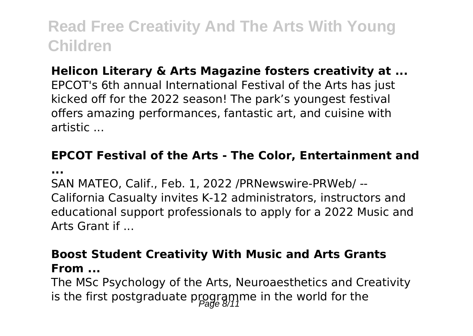### **Helicon Literary & Arts Magazine fosters creativity at ...**

EPCOT's 6th annual International Festival of the Arts has just kicked off for the 2022 season! The park's youngest festival offers amazing performances, fantastic art, and cuisine with artistic ...

### **EPCOT Festival of the Arts - The Color, Entertainment and ...**

SAN MATEO, Calif., Feb. 1, 2022 /PRNewswire-PRWeb/ -- California Casualty invites K-12 administrators, instructors and educational support professionals to apply for a 2022 Music and Arts Grant if ...

### **Boost Student Creativity With Music and Arts Grants From ...**

The MSc Psychology of the Arts, Neuroaesthetics and Creativity is the first postgraduate programme in the world for the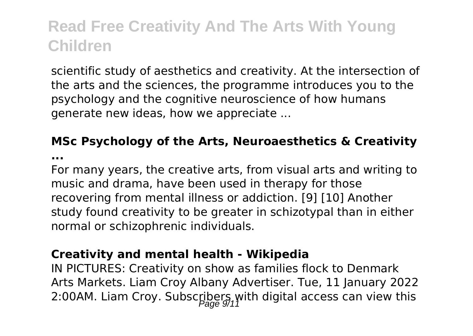scientific study of aesthetics and creativity. At the intersection of the arts and the sciences, the programme introduces you to the psychology and the cognitive neuroscience of how humans generate new ideas, how we appreciate ...

### **MSc Psychology of the Arts, Neuroaesthetics & Creativity**

**...**

For many years, the creative arts, from visual arts and writing to music and drama, have been used in therapy for those recovering from mental illness or addiction. [9] [10] Another study found creativity to be greater in schizotypal than in either normal or schizophrenic individuals.

#### **Creativity and mental health - Wikipedia**

IN PICTURES: Creativity on show as families flock to Denmark Arts Markets. Liam Croy Albany Advertiser. Tue, 11 January 2022 2:00AM. Liam Croy. Subscribers with digital access can view this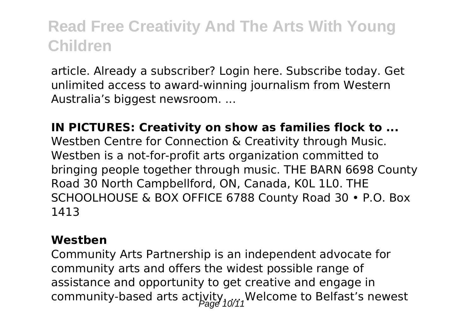article. Already a subscriber? Login here. Subscribe today. Get unlimited access to award-winning journalism from Western Australia's biggest newsroom. ...

#### **IN PICTURES: Creativity on show as families flock to ...**

Westben Centre for Connection & Creativity through Music. Westben is a not-for-profit arts organization committed to bringing people together through music. THE BARN 6698 County Road 30 North Campbellford, ON, Canada, K0L 1L0. THE SCHOOLHOUSE & BOX OFFICE 6788 County Road 30 • P.O. Box 1413

#### **Westben**

Community Arts Partnership is an independent advocate for community arts and offers the widest possible range of assistance and opportunity to get creative and engage in community-based arts activity. Welcome to Belfast's newest